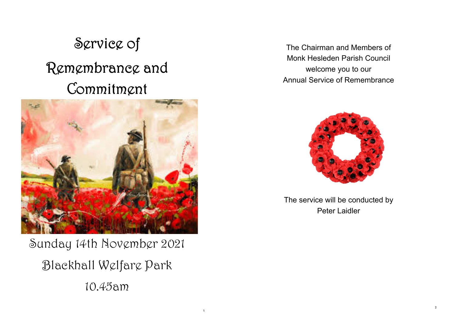# Service of Remembrance and Commitment



Sunday 14th November 2021 Blackhall Welfare Park 10.45am

1

The Chairman and Members of Monk Hesleden Parish Council welcome you to our Annual Service of Remembrance



The service will be conducted by Peter Laidler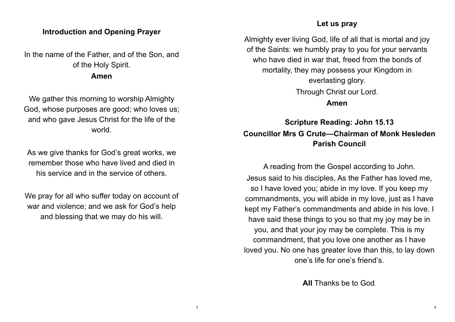## **Introduction and Opening Prayer**

In the name of the Father, and of the Son, and of the Holy Spirit.

**Amen** 

We gather this morning to worship Almighty God, whose purposes are good; who loves us; and who gave Jesus Christ for the life of the world.

As we give thanks for God's great works, we remember those who have lived and died in his service and in the service of others.

We pray for all who suffer today on account of war and violence; and we ask for God's help and blessing that we may do his will.

#### **Let us pray**

Almighty ever living God, life of all that is mortal and joy of the Saints: we humbly pray to you for your servants who have died in war that, freed from the bonds of mortality, they may possess your Kingdom in everlasting glory. Through Christ our Lord.

**Amen** 

# **Scripture Reading: John 15.13 Councillor Mrs G Crute—Chairman of Monk Hesleden Parish Council**

A reading from the Gospel according to John. Jesus said to his disciples, As the Father has loved me, so I have loved you; abide in my love. If you keep my commandments, you will abide in my love, just as I have kept my Father's commandments and abide in his love. I have said these things to you so that my joy may be in you, and that your joy may be complete. This is my commandment, that you love one another as I have loved you. No one has greater love than this, to lay down one's life for one's friend's.

**All** Thanks be to God.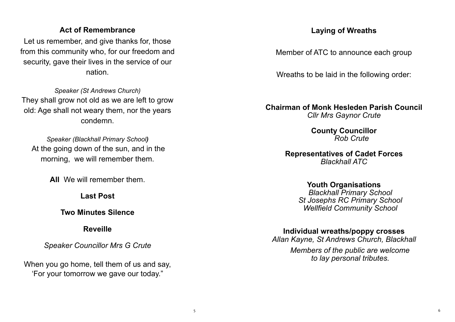# **Act of Remembrance**

Let us remember, and give thanks for, those from this community who, for our freedom and security, gave their lives in the service of our nation.

*Speaker (St Andrews Church)*  They shall grow not old as we are left to grow old: Age shall not weary them, nor the years condemn.

*Speaker (Blackhall Primary School)*  At the going down of the sun, and in the morning, we will remember them.

**All** We will remember them.

**Last Post** 

**Two Minutes Silence** 

**Reveille** 

*Speaker Councillor Mrs G Crute* 

When you go home, tell them of us and say, 'For your tomorrow we gave our today."

# **Laying of Wreaths**

Member of ATC to announce each group

Wreaths to be laid in the following order:

**Chairman of Monk Hesleden Parish Council** *Cllr Mrs Gaynor Crute*

> **County Councillor**  *Rob Crute*

**Representatives of Cadet Forces**  *Blackhall ATC*

> **Youth Organisations**   *Blackhall Primary School St Josephs RC Primary School Wellfield Community School*

**Individual wreaths/poppy crosses** 

*Allan Kayne, St Andrews Church, Blackhall*

*Members of the public are welcome to lay personal tributes.*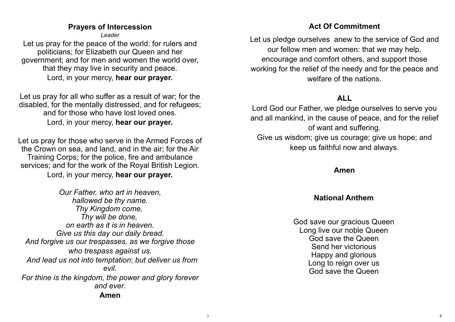# **Prayers of Intercession**

*Leader* 

Let us pray for the peace of the world: for rulers and politicians; for Elizabeth our Queen and her government; and for men and women the world over, that they may live in security and peace. Lord, in your mercy, **hear our prayer.**

Let us pray for all who suffer as a result of war; for the disabled, for the mentally distressed, and for refugees; and for those who have lost loved ones. Lord, in your mercy, **hear our prayer.** 

Let us pray for those who serve in the Armed Forces of the Crown on sea, and land, and in the air; for the Air Training Corps; for the police, fire and ambulance services; and for the work of the Royal British Legion. Lord, in your mercy, **hear our prayer.** 

*Our Father, who art in heaven, hallowed be thy name. Thy Kingdom come, Thy will be done, on earth as it is in heaven. Give us this day our daily bread. And forgive us our trespasses, as we forgive those who trespass against us. And lead us not into temptation*; *but deliver us from evil. For thine is the kingdom, the power and glory forever and ever.* **Amen**

# **Act Of Commitment**

Let us pledge ourselves anew to the service of God and our fellow men and women: that we may help, encourage and comfort others, and support those working for the relief of the needy and for the peace and welfare of the nations.

# **ALL**

Lord God our Father, we pledge ourselves to serve you and all mankind, in the cause of peace, and for the relief of want and suffering. Give us wisdom; give us courage; give us hope; and keep us faithful now and always.

## **Amen**

# **National Anthem**

God save our gracious Queen Long live our noble Queen God save the Queen Send her victorious Happy and glorious Long to reign over us God save the Queen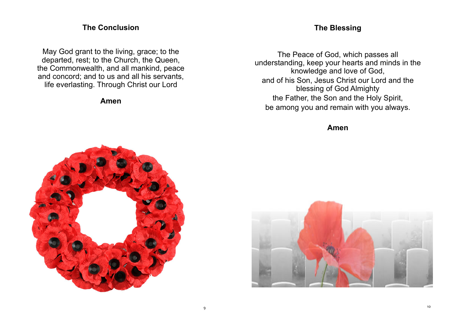## **The Conclusion**

May God grant to the living, grace; to the departed, rest; to the Church, the Queen, the Commonwealth, and all mankind, peace and concord; and to us and all his servants, life everlasting. Through Christ our Lord

#### **Amen**

## **The Blessing**

The Peace of God, which passes all understanding, keep your hearts and minds in the knowledge and love of God, and of his Son, Jesus Christ our Lord and the blessing of God Almighty the Father, the Son and the Holy Spirit, be among you and remain with you always.

**Amen** 



9